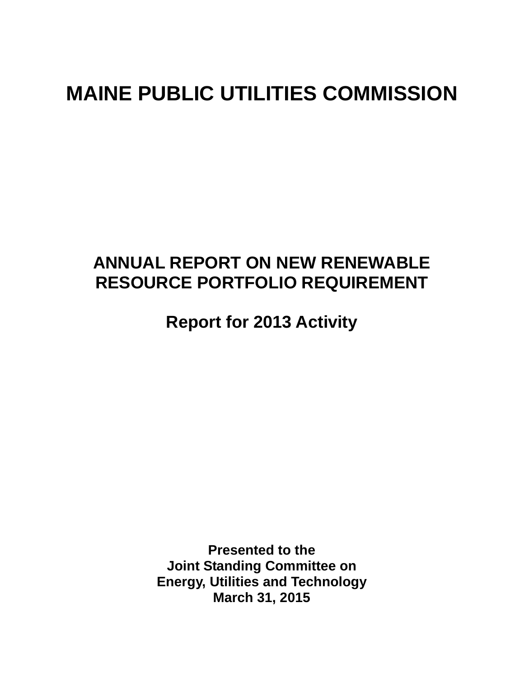# **MAINE PUBLIC UTILITIES COMMISSION**

# **ANNUAL REPORT ON NEW RENEWABLE RESOURCE PORTFOLIO REQUIREMENT**

**Report for 2013 Activity** 

**Presented to the Joint Standing Committee on Energy, Utilities and Technology March 31, 2015**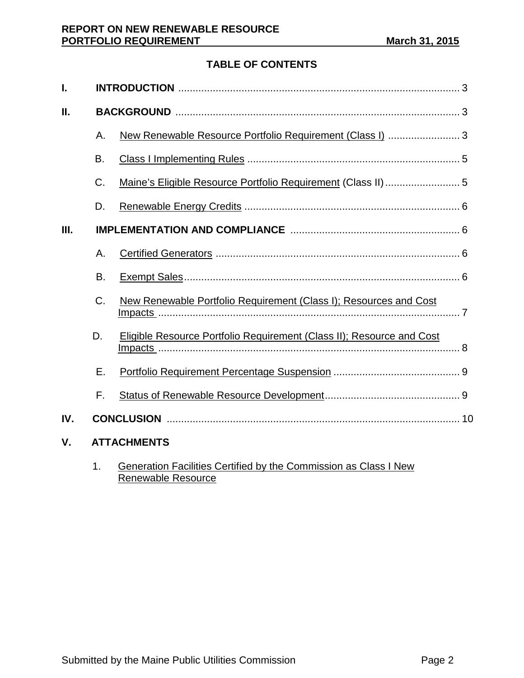# **TABLE OF CONTENTS**

| I.  |                    |                                                                              |  |  |  |  |  |
|-----|--------------------|------------------------------------------------------------------------------|--|--|--|--|--|
| Ш.  |                    |                                                                              |  |  |  |  |  |
|     | Α.                 | New Renewable Resource Portfolio Requirement (Class I)  3                    |  |  |  |  |  |
|     | B.                 |                                                                              |  |  |  |  |  |
|     | C.                 |                                                                              |  |  |  |  |  |
|     | D.                 |                                                                              |  |  |  |  |  |
| Ш.  |                    |                                                                              |  |  |  |  |  |
|     | Α.                 |                                                                              |  |  |  |  |  |
|     | <b>B.</b>          |                                                                              |  |  |  |  |  |
|     | $C_{\cdot}$        | New Renewable Portfolio Requirement (Class I); Resources and Cost            |  |  |  |  |  |
|     | D.                 | <b>Eligible Resource Portfolio Requirement (Class II); Resource and Cost</b> |  |  |  |  |  |
|     | Ε.                 |                                                                              |  |  |  |  |  |
|     | F.                 |                                                                              |  |  |  |  |  |
| IV. |                    |                                                                              |  |  |  |  |  |
| V.  | <b>ATTACHMENTS</b> |                                                                              |  |  |  |  |  |

1. Generation Facilities Certified by the Commission as Class I New Renewable Resource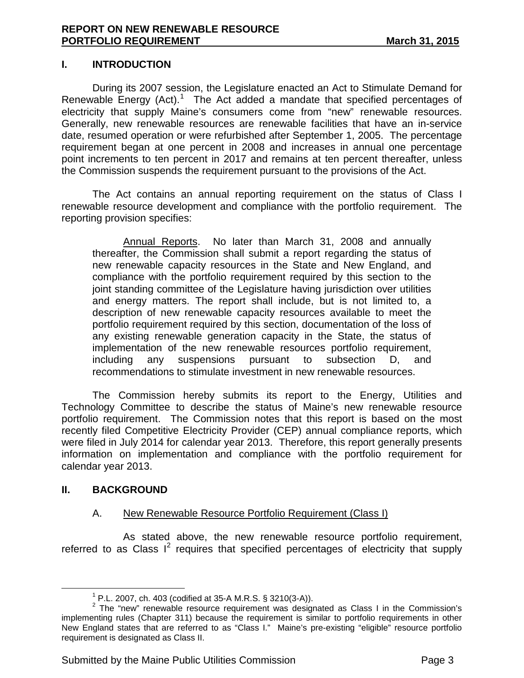#### **I. INTRODUCTION**

During its 2007 session, the Legislature enacted an Act to Stimulate Demand for Renewable Energy  $(Act)$ .<sup>[1](#page-2-0)</sup> The Act added a mandate that specified percentages of electricity that supply Maine's consumers come from "new" renewable resources. Generally, new renewable resources are renewable facilities that have an in-service date, resumed operation or were refurbished after September 1, 2005. The percentage requirement began at one percent in 2008 and increases in annual one percentage point increments to ten percent in 2017 and remains at ten percent thereafter, unless the Commission suspends the requirement pursuant to the provisions of the Act.

The Act contains an annual reporting requirement on the status of Class I renewable resource development and compliance with the portfolio requirement. The reporting provision specifies:

Annual Reports. No later than March 31, 2008 and annually thereafter, the Commission shall submit a report regarding the status of new renewable capacity resources in the State and New England, and compliance with the portfolio requirement required by this section to the joint standing committee of the Legislature having jurisdiction over utilities and energy matters. The report shall include, but is not limited to, a description of new renewable capacity resources available to meet the portfolio requirement required by this section, documentation of the loss of any existing renewable generation capacity in the State, the status of implementation of the new renewable resources portfolio requirement, including any suspensions pursuant to subsection D, and recommendations to stimulate investment in new renewable resources.

The Commission hereby submits its report to the Energy, Utilities and Technology Committee to describe the status of Maine's new renewable resource portfolio requirement. The Commission notes that this report is based on the most recently filed Competitive Electricity Provider (CEP) annual compliance reports, which were filed in July 2014 for calendar year 2013. Therefore, this report generally presents information on implementation and compliance with the portfolio requirement for calendar year 2013.

#### **II. BACKGROUND**

#### A. New Renewable Resource Portfolio Requirement (Class I)

As stated above, the new renewable resource portfolio requirement, referred to as Class  $I^2$  $I^2$  requires that specified percentages of electricity that supply

<span id="page-2-1"></span><span id="page-2-0"></span><sup>&</sup>lt;sup>1</sup> P.L. 2007, ch. 403 (codified at 35-A M.R.S. § 3210(3-A)).<br><sup>2</sup> The "new" renewable resource requirement was designated as Class I in the Commission's implementing rules (Chapter 311) because the requirement is similar to portfolio requirements in other New England states that are referred to as "Class I." Maine's pre-existing "eligible" resource portfolio requirement is designated as Class II.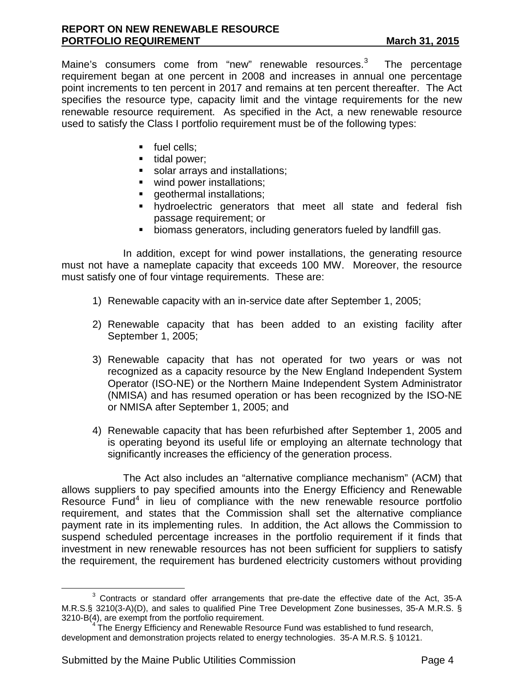Maine's consumers come from "new" renewable resources.<sup>[3](#page-3-0)</sup> The percentage requirement began at one percent in 2008 and increases in annual one percentage point increments to ten percent in 2017 and remains at ten percent thereafter. The Act specifies the resource type, capacity limit and the vintage requirements for the new renewable resource requirement. As specified in the Act, a new renewable resource used to satisfy the Class I portfolio requirement must be of the following types:

- fuel cells;
- $\blacksquare$  tidal power;
- solar arrays and installations;
- wind power installations;
- **qeothermal installations;**
- hydroelectric generators that meet all state and federal fish passage requirement; or
- biomass generators, including generators fueled by landfill gas.

In addition, except for wind power installations, the generating resource must not have a nameplate capacity that exceeds 100 MW. Moreover, the resource must satisfy one of four vintage requirements. These are:

- 1) Renewable capacity with an in-service date after September 1, 2005;
- 2) Renewable capacity that has been added to an existing facility after September 1, 2005;
- 3) Renewable capacity that has not operated for two years or was not recognized as a capacity resource by the New England Independent System Operator (ISO-NE) or the Northern Maine Independent System Administrator (NMISA) and has resumed operation or has been recognized by the ISO-NE or NMISA after September 1, 2005; and
- 4) Renewable capacity that has been refurbished after September 1, 2005 and is operating beyond its useful life or employing an alternate technology that significantly increases the efficiency of the generation process.

The Act also includes an "alternative compliance mechanism" (ACM) that allows suppliers to pay specified amounts into the Energy Efficiency and Renewable Resource Fund<sup>[4](#page-3-1)</sup> in lieu of compliance with the new renewable resource portfolio requirement, and states that the Commission shall set the alternative compliance payment rate in its implementing rules. In addition, the Act allows the Commission to suspend scheduled percentage increases in the portfolio requirement if it finds that investment in new renewable resources has not been sufficient for suppliers to satisfy the requirement, the requirement has burdened electricity customers without providing

<span id="page-3-0"></span> $3$  Contracts or standard offer arrangements that pre-date the effective date of the Act, 35-A M.R.S.§ 3210(3-A)(D), and sales to qualified Pine Tree Development Zone businesses, 35-A M.R.S. §<br>3210-B(4), are exempt from the portfolio requirement.

<span id="page-3-1"></span> $4$  The Energy Efficiency and Renewable Resource Fund was established to fund research, development and demonstration projects related to energy technologies. 35-A M.R.S. § 10121.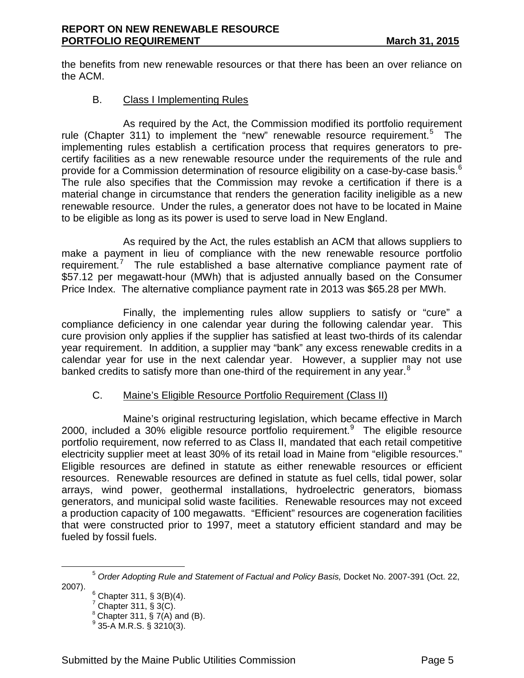the benefits from new renewable resources or that there has been an over reliance on the ACM.

#### B. Class I Implementing Rules

As required by the Act, the Commission modified its portfolio requirement rule (Chapter 311) to implement the "new" renewable resource requirement.<sup>[5](#page-4-0)</sup> The implementing rules establish a certification process that requires generators to precertify facilities as a new renewable resource under the requirements of the rule and provide for a Commission determination of resource eligibility on a case-by-case basis.  $^6$  $^6$ The rule also specifies that the Commission may revoke a certification if there is a material change in circumstance that renders the generation facility ineligible as a new renewable resource. Under the rules, a generator does not have to be located in Maine to be eligible as long as its power is used to serve load in New England.

As required by the Act, the rules establish an ACM that allows suppliers to make a payment in lieu of compliance with the new renewable resource portfolio requirement.<sup>[7](#page-4-2)</sup> The rule established a base alternative compliance payment rate of \$57.12 per megawatt-hour (MWh) that is adjusted annually based on the Consumer Price Index. The alternative compliance payment rate in 2013 was \$65.28 per MWh.

Finally, the implementing rules allow suppliers to satisfy or "cure" a compliance deficiency in one calendar year during the following calendar year. This cure provision only applies if the supplier has satisfied at least two-thirds of its calendar year requirement. In addition, a supplier may "bank" any excess renewable credits in a calendar year for use in the next calendar year. However, a supplier may not use banked credits to satisfy more than one-third of the requirement in any year. $8$ 

#### C. Maine's Eligible Resource Portfolio Requirement (Class II)

Maine's original restructuring legislation, which became effective in March 2000, included a 30% eligible resource portfolio requirement. $9$  The eligible resource portfolio requirement, now referred to as Class II, mandated that each retail competitive electricity supplier meet at least 30% of its retail load in Maine from "eligible resources." Eligible resources are defined in statute as either renewable resources or efficient resources. Renewable resources are defined in statute as fuel cells, tidal power, solar arrays, wind power, geothermal installations, hydroelectric generators, biomass generators, and municipal solid waste facilities. Renewable resources may not exceed a production capacity of 100 megawatts. "Efficient" resources are cogeneration facilities that were constructed prior to 1997, meet a statutory efficient standard and may be fueled by fossil fuels.

<span id="page-4-4"></span><span id="page-4-3"></span><span id="page-4-2"></span><span id="page-4-1"></span><span id="page-4-0"></span><sup>5</sup> *Order Adopting Rule and Statement of Factual and Policy Basis,* Docket No. 2007-391 (Oct. 22,

 $6$  Chapter 311, § 3(B)(4).

 $7$  Chapter 311,  $\S 3(C)$ .

 $^8$  Chapter 311, § 7(A) and (B).<br><sup>9</sup> 35-A M.R.S. § 3210(3).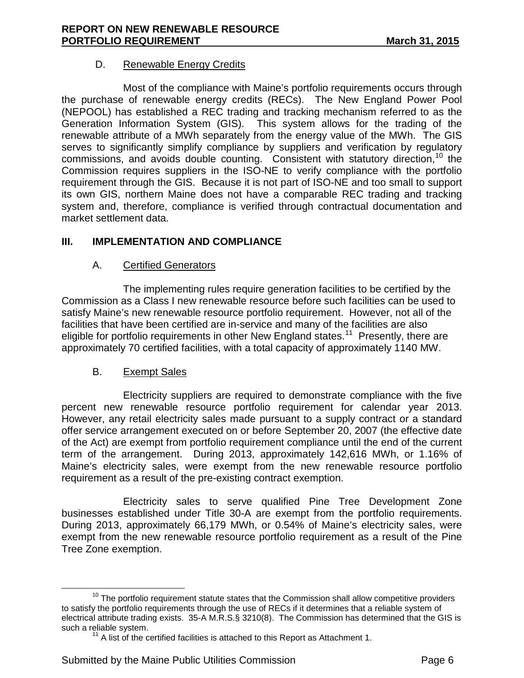#### D. Renewable Energy Credits

Most of the compliance with Maine's portfolio requirements occurs through the purchase of renewable energy credits (RECs). The New England Power Pool (NEPOOL) has established a REC trading and tracking mechanism referred to as the Generation Information System (GIS). This system allows for the trading of the renewable attribute of a MWh separately from the energy value of the MWh. The GIS serves to significantly simplify compliance by suppliers and verification by regulatory commissions, and avoids double counting. Consistent with statutory direction,  $10$  the Commission requires suppliers in the ISO-NE to verify compliance with the portfolio requirement through the GIS. Because it is not part of ISO-NE and too small to support its own GIS, northern Maine does not have a comparable REC trading and tracking system and, therefore, compliance is verified through contractual documentation and market settlement data.

# **III. IMPLEMENTATION AND COMPLIANCE**

# A. Certified Generators

The implementing rules require generation facilities to be certified by the Commission as a Class I new renewable resource before such facilities can be used to satisfy Maine's new renewable resource portfolio requirement. However, not all of the facilities that have been certified are in-service and many of the facilities are also eligible for portfolio requirements in other New England states.<sup>[11](#page-5-1)</sup> Presently, there are approximately 70 certified facilities, with a total capacity of approximately 1140 MW.

# B. Exempt Sales

Electricity suppliers are required to demonstrate compliance with the five percent new renewable resource portfolio requirement for calendar year 2013. However, any retail electricity sales made pursuant to a supply contract or a standard offer service arrangement executed on or before September 20, 2007 (the effective date of the Act) are exempt from portfolio requirement compliance until the end of the current term of the arrangement. During 2013, approximately 142,616 MWh, or 1.16% of Maine's electricity sales, were exempt from the new renewable resource portfolio requirement as a result of the pre-existing contract exemption.

Electricity sales to serve qualified Pine Tree Development Zone businesses established under Title 30-A are exempt from the portfolio requirements. During 2013, approximately 66,179 MWh, or 0.54% of Maine's electricity sales, were exempt from the new renewable resource portfolio requirement as a result of the Pine Tree Zone exemption.

<span id="page-5-1"></span><span id="page-5-0"></span> $10$  The portfolio requirement statute states that the Commission shall allow competitive providers to satisfy the portfolio requirements through the use of RECs if it determines that a reliable system of electrical attribute trading exists. 35-A M.R.S.§ 3210(8). The Commission has determined that the GIS is

 $11$  A list of the certified facilities is attached to this Report as Attachment 1.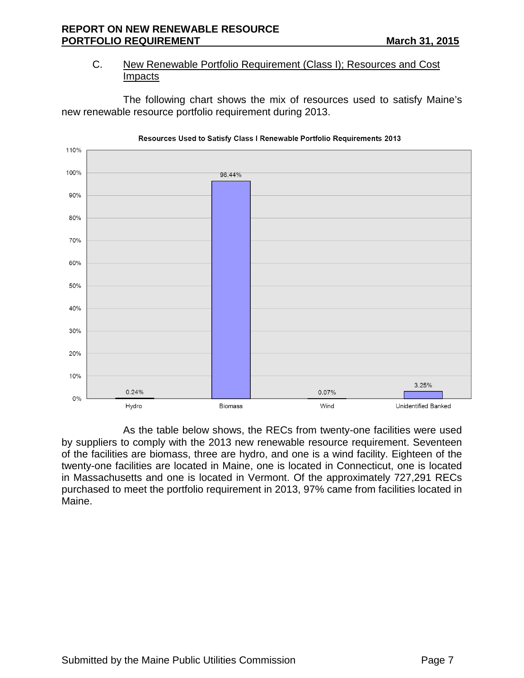### C. New Renewable Portfolio Requirement (Class I); Resources and Cost Impacts

The following chart shows the mix of resources used to satisfy Maine's new renewable resource portfolio requirement during 2013.



As the table below shows, the RECs from twenty-one facilities were used by suppliers to comply with the 2013 new renewable resource requirement. Seventeen of the facilities are biomass, three are hydro, and one is a wind facility. Eighteen of the twenty-one facilities are located in Maine, one is located in Connecticut, one is located in Massachusetts and one is located in Vermont. Of the approximately 727,291 RECs purchased to meet the portfolio requirement in 2013, 97% came from facilities located in Maine.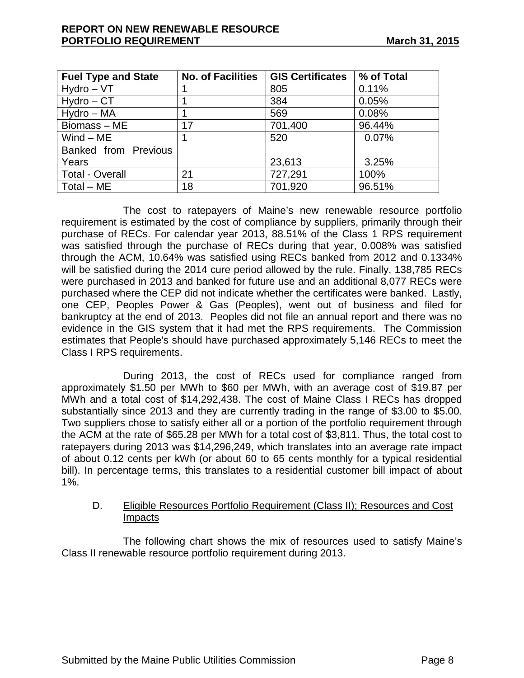| <b>Fuel Type and State</b> | <b>No. of Facilities</b> | <b>GIS Certificates</b> | % of Total |
|----------------------------|--------------------------|-------------------------|------------|
| $Hydro - VT$               |                          | 805                     | 0.11%      |
| $Hydro - CT$               |                          | 384                     | 0.05%      |
| Hydro - MA                 |                          | 569                     | 0.08%      |
| Biomass-ME                 | 17                       | 701,400                 | 96.44%     |
| $Wind - ME$                |                          | 520                     | 0.07%      |
| Banked from Previous       |                          |                         |            |
| Years                      |                          | 23,613                  | 3.25%      |
| <b>Total - Overall</b>     | 21                       | 727,291                 | 100%       |
| $Total - ME$               | 18                       | 701,920                 | 96.51%     |

The cost to ratepayers of Maine's new renewable resource portfolio requirement is estimated by the cost of compliance by suppliers, primarily through their purchase of RECs. For calendar year 2013, 88.51% of the Class 1 RPS requirement was satisfied through the purchase of RECs during that year, 0.008% was satisfied through the ACM, 10.64% was satisfied using RECs banked from 2012 and 0.1334% will be satisfied during the 2014 cure period allowed by the rule. Finally, 138,785 RECs were purchased in 2013 and banked for future use and an additional 8,077 RECs were purchased where the CEP did not indicate whether the certificates were banked. Lastly, one CEP, Peoples Power & Gas (Peoples), went out of business and filed for bankruptcy at the end of 2013. Peoples did not file an annual report and there was no evidence in the GIS system that it had met the RPS requirements. The Commission estimates that People's should have purchased approximately 5,146 RECs to meet the Class I RPS requirements.

During 2013, the cost of RECs used for compliance ranged from approximately \$1.50 per MWh to \$60 per MWh, with an average cost of \$19.87 per MWh and a total cost of \$14,292,438. The cost of Maine Class I RECs has dropped substantially since 2013 and they are currently trading in the range of \$3.00 to \$5.00. Two suppliers chose to satisfy either all or a portion of the portfolio requirement through the ACM at the rate of \$65.28 per MWh for a total cost of \$3,811. Thus, the total cost to ratepayers during 2013 was \$14,296,249, which translates into an average rate impact of about 0.12 cents per kWh (or about 60 to 65 cents monthly for a typical residential bill). In percentage terms, this translates to a residential customer bill impact of about  $1\%$ .

### D. Eligible Resources Portfolio Requirement (Class II); Resources and Cost **Impacts**

The following chart shows the mix of resources used to satisfy Maine's Class II renewable resource portfolio requirement during 2013.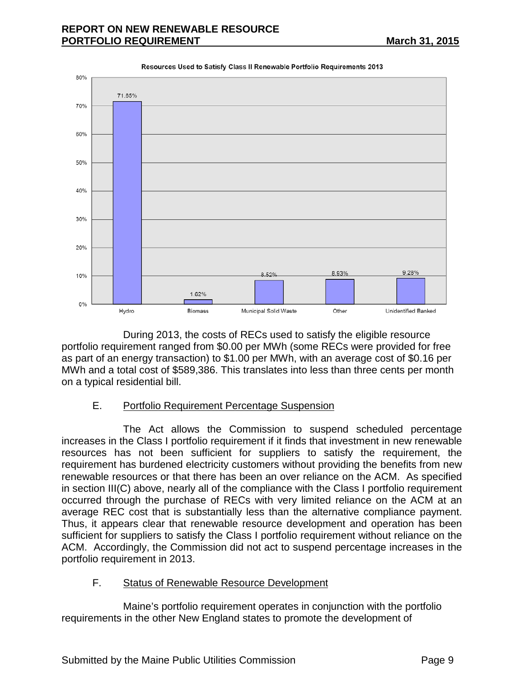

During 2013, the costs of RECs used to satisfy the eligible resource portfolio requirement ranged from \$0.00 per MWh (some RECs were provided for free as part of an energy transaction) to \$1.00 per MWh, with an average cost of \$0.16 per MWh and a total cost of \$589,386. This translates into less than three cents per month on a typical residential bill.

# E. Portfolio Requirement Percentage Suspension

The Act allows the Commission to suspend scheduled percentage increases in the Class I portfolio requirement if it finds that investment in new renewable resources has not been sufficient for suppliers to satisfy the requirement, the requirement has burdened electricity customers without providing the benefits from new renewable resources or that there has been an over reliance on the ACM. As specified in section III(C) above, nearly all of the compliance with the Class I portfolio requirement occurred through the purchase of RECs with very limited reliance on the ACM at an average REC cost that is substantially less than the alternative compliance payment. Thus, it appears clear that renewable resource development and operation has been sufficient for suppliers to satisfy the Class I portfolio requirement without reliance on the ACM. Accordingly, the Commission did not act to suspend percentage increases in the portfolio requirement in 2013.

# F. Status of Renewable Resource Development

Maine's portfolio requirement operates in conjunction with the portfolio requirements in the other New England states to promote the development of